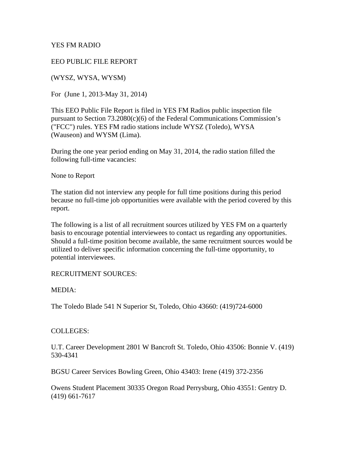YES FM RADIO

EEO PUBLIC FILE REPORT

(WYSZ, WYSA, WYSM)

For (June 1, 2013-May 31, 2014)

This EEO Public File Report is filed in YES FM Radios public inspection file pursuant to Section 73.2080(c)(6) of the Federal Communications Commission's ("FCC") rules. YES FM radio stations include WYSZ (Toledo), WYSA (Wauseon) and WYSM (Lima).

During the one year period ending on May 31, 2014, the radio station filled the following full-time vacancies:

None to Report

The station did not interview any people for full time positions during this period because no full-time job opportunities were available with the period covered by this report.

The following is a list of all recruitment sources utilized by YES FM on a quarterly basis to encourage potential interviewees to contact us regarding any opportunities. Should a full-time position become available, the same recruitment sources would be utilized to deliver specific information concerning the full-time opportunity, to potential interviewees.

### RECRUITMENT SOURCES:

MEDIA:

The Toledo Blade 541 N Superior St, Toledo, Ohio 43660: (419)724-6000

### COLLEGES:

U.T. Career Development 2801 W Bancroft St. Toledo, Ohio 43506: Bonnie V. (419) 530-4341

BGSU Career Services Bowling Green, Ohio 43403: Irene (419) 372-2356

Owens Student Placement 30335 Oregon Road Perrysburg, Ohio 43551: Gentry D. (419) 661-7617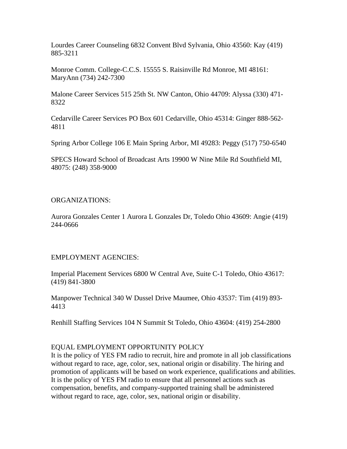Lourdes Career Counseling 6832 Convent Blvd Sylvania, Ohio 43560: Kay (419) 885-3211

Monroe Comm. College-C.C.S. 15555 S. Raisinville Rd Monroe, MI 48161: MaryAnn (734) 242-7300

Malone Career Services 515 25th St. NW Canton, Ohio 44709: Alyssa (330) 471- 8322

Cedarville Career Services PO Box 601 Cedarville, Ohio 45314: Ginger 888-562- 4811

Spring Arbor College 106 E Main Spring Arbor, MI 49283: Peggy (517) 750-6540

SPECS Howard School of Broadcast Arts 19900 W Nine Mile Rd Southfield MI, 48075: (248) 358-9000

## ORGANIZATIONS:

Aurora Gonzales Center 1 Aurora L Gonzales Dr, Toledo Ohio 43609: Angie (419) 244-0666

## EMPLOYMENT AGENCIES:

Imperial Placement Services 6800 W Central Ave, Suite C-1 Toledo, Ohio 43617: (419) 841-3800

Manpower Technical 340 W Dussel Drive Maumee, Ohio 43537: Tim (419) 893- 4413

Renhill Staffing Services 104 N Summit St Toledo, Ohio 43604: (419) 254-2800

## EQUAL EMPLOYMENT OPPORTUNITY POLICY

It is the policy of YES FM radio to recruit, hire and promote in all job classifications without regard to race, age, color, sex, national origin or disability. The hiring and promotion of applicants will be based on work experience, qualifications and abilities. It is the policy of YES FM radio to ensure that all personnel actions such as compensation, benefits, and company-supported training shall be administered without regard to race, age, color, sex, national origin or disability.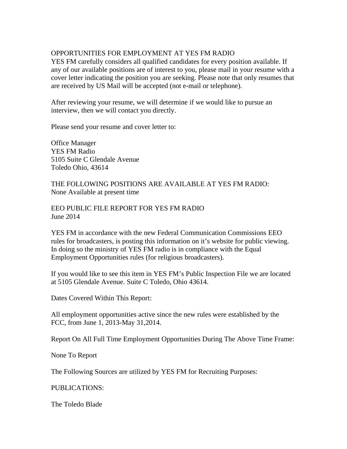# OPPORTUNITIES FOR EMPLOYMENT AT YES FM RADIO

YES FM carefully considers all qualified candidates for every position available. If any of our available positions are of interest to you, please mail in your resume with a cover letter indicating the position you are seeking. Please note that only resumes that are received by US Mail will be accepted (not e-mail or telephone).

After reviewing your resume, we will determine if we would like to pursue an interview, then we will contact you directly.

Please send your resume and cover letter to:

Office Manager YES FM Radio 5105 Suite C Glendale Avenue Toledo Ohio, 43614

THE FOLLOWING POSITIONS ARE AVAILABLE AT YES FM RADIO: None Available at present time

EEO PUBLIC FILE REPORT FOR YES FM RADIO June 2014

YES FM in accordance with the new Federal Communication Commissions EEO rules for broadcasters, is posting this information on it's website for public viewing. In doing so the ministry of YES FM radio is in compliance with the Equal Employment Opportunities rules (for religious broadcasters).

If you would like to see this item in YES FM's Public Inspection File we are located at 5105 Glendale Avenue. Suite C Toledo, Ohio 43614.

Dates Covered Within This Report:

All employment opportunities active since the new rules were established by the FCC, from June 1, 2013-May 31,2014.

Report On All Full Time Employment Opportunities During The Above Time Frame:

None To Report

The Following Sources are utilized by YES FM for Recruiting Purposes:

PUBLICATIONS:

The Toledo Blade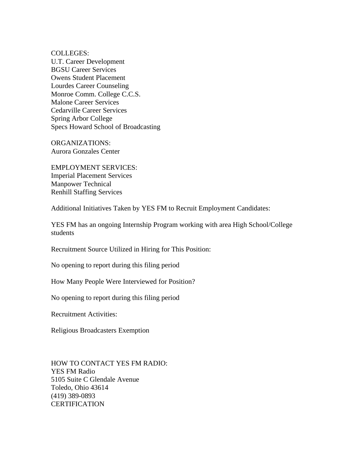COLLEGES:

U.T. Career Development BGSU Career Services Owens Student Placement Lourdes Career Counseling Monroe Comm. College C.C.S. Malone Career Services Cedarville Career Services Spring Arbor College Specs Howard School of Broadcasting

ORGANIZATIONS: Aurora Gonzales Center

EMPLOYMENT SERVICES: Imperial Placement Services Manpower Technical Renhill Staffing Services

Additional Initiatives Taken by YES FM to Recruit Employment Candidates:

YES FM has an ongoing Internship Program working with area High School/College students

Recruitment Source Utilized in Hiring for This Position:

No opening to report during this filing period

How Many People Were Interviewed for Position?

No opening to report during this filing period

Recruitment Activities:

Religious Broadcasters Exemption

HOW TO CONTACT YES FM RADIO: YES FM Radio 5105 Suite C Glendale Avenue Toledo, Ohio 43614 (419) 389-0893 **CERTIFICATION**